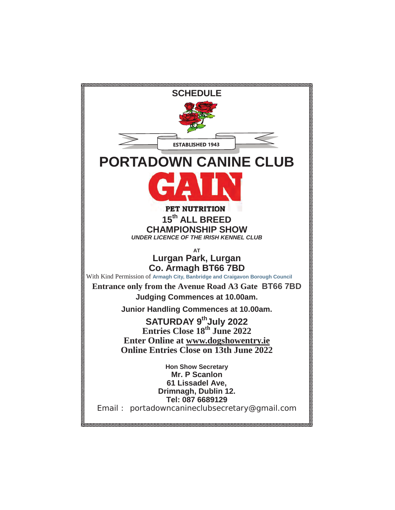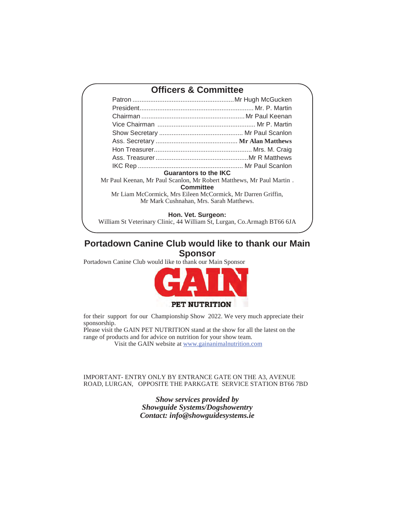# **Officers & Committee**

| <b>Guarantors to the IKC</b> |  |  |  |  |  |  |
|------------------------------|--|--|--|--|--|--|

Mr Paul Keenan, Mr Paul Scanlon, Mr Robert Matthews, Mr Paul Martin . **Committee** 

Mr Liam McCormick, Mrs Eileen McCormick, Mr Darren Griffin, Mr Mark Cushnahan, Mrs. Sarah Matthews.

## **Hon. Vet. Surgeon:**

William St Veterinary Clinic, 44 William St, Lurgan, Co.Armagh BT66 6JA

## **Portadown Canine Club would like to thank our Main Sponsor**

Portadown Canine Club would like to thank our Main Sponsor



for their support for our Championship Show 2022. We very much appreciate their sponsorship.

Please visit the GAIN PET NUTRITION stand at the show for all the latest on the range of products and for advice on nutrition for your show team.

Visit the GAIN website at www.gainanimalnutrition.com

## IMPORTANT- ENTRY ONLY BY ENTRANCE GATE ON THE A3, AVENUE ROAD, LURGAN, OPPOSITE THE PARKGATE SERVICE STATION BT66 7BD

*Show services provided by Showguide Systems/Dogshowentry Contact: info@showguidesystems.ie*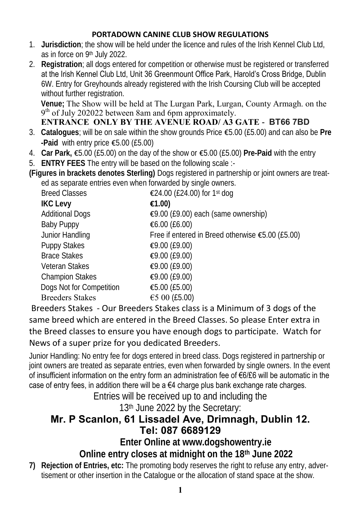## **PORTADOWN CANINE CLUB SHOW REGULATIONS**

- 1. **Jurisdiction**; the show will be held under the licence and rules of the Irish Kennel Club Ltd, as in force on 9th July 2022.
- 2. **Registration**; all dogs entered for competition or otherwise must be registered or transferred at the Irish Kennel Club Ltd, Unit 36 Greenmount Office Park, Harold's Cross Bridge, Dublin 6W. Entry for Greyhounds already registered with the Irish Coursing Club will be accepted without further registration.

**Venue;** The Show will be held at The Lurgan Park, Lurgan, County Armagh. on the 9<sup>th</sup> of July 202022 between 8am and 6pm approximately. **ENTRANCE ONLY BY THE AVENUE ROAD/ A3 GATE - BT66 7BD** 

- 3. **Catalogues**; will be on sale within the show grounds Price €5.00 (£5.00) and can also be **Pre -Paid** with entry price €5.00 (£5.00)
- 4. **Car Park,** €5.00 (£5.00) on the day of the show or €5.00 (£5.00) **Pre-Paid** with the entry
- 5. **ENTRY FEES** The entry will be based on the following scale :-
- **(Figures in brackets denotes Sterling)** Dogs registered in partnership or joint owners are treated as separate entries even when forwarded by single owners.

| <b>Breed Classes</b>     | €24.00 (£24.00) for 1st dog                      |
|--------------------------|--------------------------------------------------|
| <b>IKC Levy</b>          | $\epsilon$ 1.00)                                 |
| <b>Additional Dogs</b>   | €9.00 (£9.00) each (same ownership)              |
| Baby Puppy               | € $6.00$ (£6.00)                                 |
| Junior Handling          | Free if entered in Breed otherwise €5.00 (£5.00) |
| Puppy Stakes             | €9.00 (£9.00)                                    |
| <b>Brace Stakes</b>      | €9.00 (£9.00)                                    |
| Veteran Stakes           | €9.00 (£9.00)                                    |
| <b>Champion Stakes</b>   | €9.00 (£9.00)                                    |
| Dogs Not for Competition | € $5.00$ (£ $5.00$ )                             |
| <b>Breeders Stakes</b>   | €5 00 (£5.00)                                    |

Breeders Stakes - Our Breeders Stakes class is a Minimum of 3 dogs of the same breed which are entered in the Breed Classes. So please Enter extra in the Breed classes to ensure you have enough dogs to participate. Watch for News of a super prize for you dedicated Breeders.

Junior Handling: No entry fee for dogs entered in breed class. Dogs registered in partnership or joint owners are treated as separate entries, even when forwarded by single owners. In the event of insufficient information on the entry form an administration fee of €6/£6 will be automatic in the case of entry fees, in addition there will be a  $64$  charge plus bank exchange rate charges.

Entries will be received up to and including the 13th June 2022 by the Secretary:

## **Mr. P Scanlon, 61 Lissadel Ave, Drimnagh, Dublin 12. Tel: 087 6689129**

**Enter Online at www.dogshowentry.ie**

**Online entry closes at midnight on the 18th June 2022**

**7) Rejection of Entries, etc:** The promoting body reserves the right to refuse any entry, advertisement or other insertion in the Catalogue or the allocation of stand space at the show.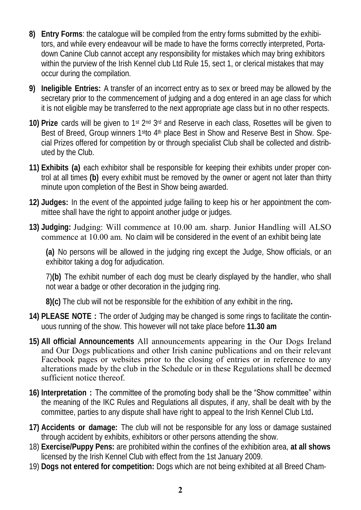- **8) Entry Forms**: the catalogue will be compiled from the entry forms submitted by the exhibitors, and while every endeavour will be made to have the forms correctly interpreted, Portadown Canine Club cannot accept any responsibility for mistakes which may bring exhibitors within the purview of the Irish Kennel club Ltd Rule 15, sect 1, or clerical mistakes that may occur during the compilation.
- **9) Ineligible Entries:** A transfer of an incorrect entry as to sex or breed may be allowed by the secretary prior to the commencement of judging and a dog entered in an age class for which it is not eligible may be transferred to the next appropriate age class but in no other respects.
- 10) Prize cards will be given to 1<sup>st 2nd</sup> 3<sup>rd</sup> and Reserve in each class, Rosettes will be given to Best of Breed, Group winners 1<sup>st</sup>to 4<sup>th</sup> place Best in Show and Reserve Best in Show. Special Prizes offered for competition by or through specialist Club shall be collected and distributed by the Club.
- **11) Exhibits (a)** each exhibitor shall be responsible for keeping their exhibits under proper control at all times **(b)** every exhibit must be removed by the owner or agent not later than thirty minute upon completion of the Best in Show being awarded.
- **12) Judges:** In the event of the appointed judge failing to keep his or her appointment the committee shall have the right to appoint another judge or judges.
- **13) Judging:** Judging: Will commence at 10.00 am. sharp. Junior Handling will ALSO commence at 10.00 am. No claim will be considered in the event of an exhibit being late

**(a)** No persons will be allowed in the judging ring except the Judge, Show officials, or an exhibitor taking a dog for adjudication.

7)**(b)** The exhibit number of each dog must be clearly displayed by the handler, who shall not wear a badge or other decoration in the judging ring.

**8)(c)** The club will not be responsible for the exhibition of any exhibit in the ring**.**

- **14) PLEASE NOTE :** The order of Judging may be changed is some rings to facilitate the continuous running of the show. This however will not take place before **11.30 am**
- **15) All official Announcements** All announcements appearing in the Our Dogs Ireland and Our Dogs publications and other Irish canine publications and on their relevant Facebook pages or websites prior to the closing of entries or in reference to any alterations made by the club in the Schedule or in these Regulations shall be deemed sufficient notice thereof.
- **16) Interpretation :** The committee of the promoting body shall be the "Show committee" within the meaning of the IKC Rules and Regulations all disputes, if any, shall be dealt with by the committee, parties to any dispute shall have right to appeal to the Irish Kennel Club Ltd**.**
- **17) Accidents or damage:** The club will not be responsible for any loss or damage sustained through accident by exhibits, exhibitors or other persons attending the show.
- 18) **Exercise/Puppy Pens:** are prohibited within the confines of the exhibition area, **at all shows**  licensed by the Irish Kennel Club with effect from the 1st January 2009.
- 19) **Dogs not entered for competition:** Dogs which are not being exhibited at all Breed Cham-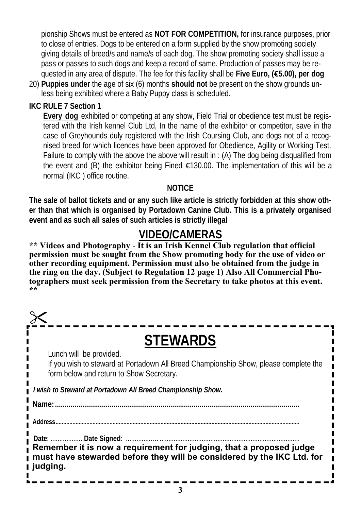pionship Shows must be entered as **NOT FOR COMPETITION,** for insurance purposes, prior to close of entries. Dogs to be entered on a form supplied by the show promoting society giving details of breed/s and name/s of each dog. The show promoting society shall issue a pass or passes to such dogs and keep a record of same. Production of passes may be requested in any area of dispute. The fee for this facility shall be **Five Euro, (€5.00), per dog**

- 20) **Puppies under** the age of six (6) months **should not** be present on the show grounds unless being exhibited where a Baby Puppy class is scheduled.
- **IKC RULE 7 Section 1**

**Every dog** exhibited or competing at any show, Field Trial or obedience test must be registered with the Irish kennel Club Ltd, In the name of the exhibitor or competitor, save in the case of Greyhounds duly registered with the Irish Coursing Club, and dogs not of a recognised breed for which licences have been approved for Obedience, Agility or Working Test. Failure to comply with the above the above will result in : (A) The dog being disqualified from the event and (B) the exhibitor being Fined  $\epsilon$ 130.00. The implementation of this will be a normal (IKC ) office routine.

### **NOTICE**

**The sale of ballot tickets and or any such like article is strictly forbidden at this show other than that which is organised by Portadown Canine Club. This is a privately organised event and as such all sales of such articles is strictly illegal**

## **VIDEO/CAMERAS**

**\*\* Videos and Photography - It is an Irish Kennel Club regulation that official permission must be sought from the Show promoting body for the use of video or other recording equipment. Permission must also be obtained from the judge in the ring on the day. (Subject to Regulation 12 page 1) Also All Commercial Photographers must seek permission from the Secretary to take photos at this event. \*\*** 

| <b>STEWARDS</b>                                                                                                                                             |  |  |  |  |  |
|-------------------------------------------------------------------------------------------------------------------------------------------------------------|--|--|--|--|--|
| Lunch will be provided.<br>If you wish to steward at Portadown All Breed Championship Show, please complete the<br>form below and return to Show Secretary. |  |  |  |  |  |
| I wish to Steward at Portadown All Breed Championship Show.                                                                                                 |  |  |  |  |  |
|                                                                                                                                                             |  |  |  |  |  |
| Address                                                                                                                                                     |  |  |  |  |  |
| Remember it is now a requirement for judging, that a proposed judge<br>must have stewarded before they will be considered by the IKC Ltd. for<br>∎ judging. |  |  |  |  |  |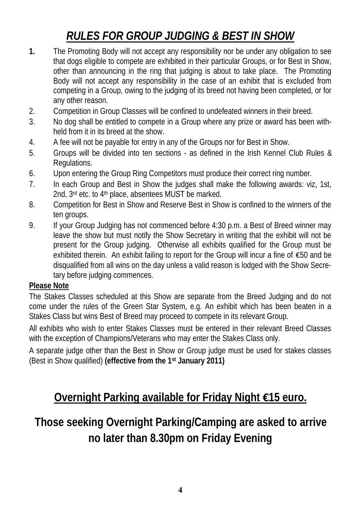# *RULES FOR GROUP JUDGING & BEST IN SHOW*

- **1.** The Promoting Body will not accept any responsibility nor be under any obligation to see that dogs eligible to compete are exhibited in their particular Groups, or for Best in Show, other than announcing in the ring that judging is about to take place. The Promoting Body will not accept any responsibility in the case of an exhibit that is excluded from competing in a Group, owing to the judging of its breed not having been completed, or for any other reason.
- 2. Competition in Group Classes will be confined to undefeated winners in their breed.
- 3. No dog shall be entitled to compete in a Group where any prize or award has been withheld from it in its breed at the show.
- 4. A fee will not be payable for entry in any of the Groups nor for Best in Show.
- 5. Groups will be divided into ten sections as defined in the Irish Kennel Club Rules & Regulations.
- 6. Upon entering the Group Ring Competitors must produce their correct ring number.
- 7. In each Group and Best in Show the judges shall make the following awards: viz, 1st, 2nd, 3rd etc. to 4th place, absentees MUST be marked.
- 8. Competition for Best in Show and Reserve Best in Show is confined to the winners of the ten groups.
- 9. If your Group Judging has not commenced before 4:30 p.m. a Best of Breed winner may leave the show but must notify the Show Secretary in writing that the exhibit will not be present for the Group judging. Otherwise all exhibits qualified for the Group must be exhibited therein. An exhibit failing to report for the Group will incur a fine of €50 and be disqualified from all wins on the day unless a valid reason is lodged with the Show Secretary before judging commences.

## **Please Note**

The Stakes Classes scheduled at this Show are separate from the Breed Judging and do not come under the rules of the Green Star System, e.g. An exhibit which has been beaten in a Stakes Class but wins Best of Breed may proceed to compete in its relevant Group.

All exhibits who wish to enter Stakes Classes must be entered in their relevant Breed Classes with the exception of Champions/Veterans who may enter the Stakes Class only.

A separate judge other than the Best in Show or Group judge must be used for stakes classes (Best in Show qualified) **(effective from the 1st January 2011)**

# **Overnight Parking available for Friday Night €15 euro.**

**Those seeking Overnight Parking/Camping are asked to arrive no later than 8.30pm on Friday Evening**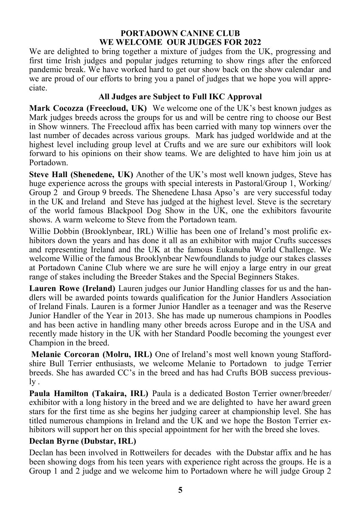#### **PORTADOWN CANINE CLUB WE WELCOME OUR JUDGES FOR 2022**

We are delighted to bring together a mixture of judges from the UK, progressing and first time Irish judges and popular judges returning to show rings after the enforced pandemic break. We have worked hard to get our show back on the show calendar and we are proud of our efforts to bring you a panel of judges that we hope you will appreciate.

## **All Judges are Subject to Full IKC Approval**

**Mark Cocozza (Freecloud, UK)** We welcome one of the UK's best known judges as Mark judges breeds across the groups for us and will be centre ring to choose our Best in Show winners. The Freecloud affix has been carried with many top winners over the last number of decades across various groups. Mark has judged worldwide and at the highest level including group level at Crufts and we are sure our exhibitors will look forward to his opinions on their show teams. We are delighted to have him join us at Portadown.

**Steve Hall (Shenedene, UK)** Another of the UK's most well known judges, Steve has huge experience across the groups with special interests in Pastoral/Group 1, Working/ Group 2 and Group 9 breeds. The Shenedene Lhasa Apso's are very successful today in the UK and Ireland and Steve has judged at the highest level. Steve is the secretary of the world famous Blackpool Dog Show in the UK, one the exhibitors favourite shows. A warm welcome to Steve from the Portadown team.

Willie Dobbin (Brooklynbear, IRL) Willie has been one of Ireland's most prolific exhibitors down the years and has done it all as an exhibitor with major Crufts successes and representing Ireland and the UK at the famous Eukanuba World Challenge. We welcome Willie of the famous Brooklynbear Newfoundlands to judge our stakes classes at Portadown Canine Club where we are sure he will enjoy a large entry in our great range of stakes including the Breeder Stakes and the Special Beginners Stakes.

**Lauren Rowe (Ireland)** Lauren judges our Junior Handling classes for us and the handlers will be awarded points towards qualification for the Junior Handlers Association of Ireland Finals. Lauren is a former Junior Handler as a teenager and was the Reserve Junior Handler of the Year in 2013. She has made up numerous champions in Poodles and has been active in handling many other breeds across Europe and in the USA and recently made history in the UK with her Standard Poodle becoming the youngest ever Champion in the breed.

**Melanie Corcoran (Molru, IRL)** One of Ireland's most well known young Staffordshire Bull Terrier enthusiasts, we welcome Melanie to Portadown to judge Terrier breeds. She has awarded CC's in the breed and has had Crufts BOB success previously .

**Paula Hamilton (Takaira, IRL)** Paula is a dedicated Boston Terrier owner/breeder/ exhibitor with a long history in the breed and we are delighted to have her award green stars for the first time as she begins her judging career at championship level. She has titled numerous champions in Ireland and the UK and we hope the Boston Terrier exhibitors will support her on this special appointment for her with the breed she loves.

## **Declan Byrne (Dubstar, IRL)**

Declan has been involved in Rottweilers for decades with the Dubstar affix and he has been showing dogs from his teen years with experience right across the groups. He is a Group 1 and 2 judge and we welcome him to Portadown where he will judge Group 2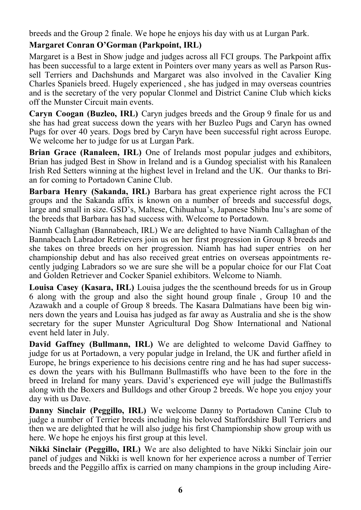breeds and the Group 2 finale. We hope he enjoys his day with us at Lurgan Park.

## **Margaret Conran O'Gorman (Parkpoint, IRL)**

Margaret is a Best in Show judge and judges across all FCI groups. The Parkpoint affix has been successful to a large extent in Pointers over many years as well as Parson Russell Terriers and Dachshunds and Margaret was also involved in the Cavalier King Charles Spaniels breed. Hugely experienced , she has judged in may overseas countries and is the secretary of the very popular Clonmel and District Canine Club which kicks off the Munster Circuit main events.

**Caryn Coogan (Buzleo, IRL)** Caryn judges breeds and the Group 9 finale for us and she has had great success down the years with her Buzleo Pugs and Caryn has owned Pugs for over 40 years. Dogs bred by Caryn have been successful right across Europe. We welcome her to judge for us at Lurgan Park.

**Brian Grace (Ranaleen, IRL)** One of Irelands most popular judges and exhibitors, Brian has judged Best in Show in Ireland and is a Gundog specialist with his Ranaleen Irish Red Setters winning at the highest level in Ireland and the UK. Our thanks to Brian for coming to Portadown Canine Club.

**Barbara Henry (Sakanda, IRL)** Barbara has great experience right across the FCI groups and the Sakanda affix is known on a number of breeds and successful dogs, large and small in size. GSD's, Maltese, Chihuahua's, Japanese Shiba Inu's are some of the breeds that Barbara has had success with. Welcome to Portadown.

Niamh Callaghan (Bannabeach, IRL) We are delighted to have Niamh Callaghan of the Bannabeach Labrador Retrievers join us on her first progression in Group 8 breeds and she takes on three breeds on her progression. Niamh has had super entries on her championship debut and has also received great entries on overseas appointments recently judging Labradors so we are sure she will be a popular choice for our Flat Coat and Golden Retriever and Cocker Spaniel exhibitors. Welcome to Niamh.

**Louisa Casey (Kasara, IRL)** Louisa judges the the scenthound breeds for us in Group 6 along with the group and also the sight hound group finale , Group 10 and the Azawakh and a couple of Group 8 breeds. The Kasara Dalmatians have been big winners down the years and Louisa has judged as far away as Australia and she is the show secretary for the super Munster Agricultural Dog Show International and National event held later in July.

**David Gaffney (Bullmann, IRL)** We are delighted to welcome David Gaffney to judge for us at Portadown, a very popular judge in Ireland, the UK and further afield in Europe, he brings experience to his decisions centre ring and he has had super successes down the years with his Bullmann Bullmastiffs who have been to the fore in the breed in Ireland for many years. David's experienced eye will judge the Bullmastiffs along with the Boxers and Bulldogs and other Group 2 breeds. We hope you enjoy your day with us Dave.

**Danny Sinclair (Peggillo, IRL)** We welcome Danny to Portadown Canine Club to judge a number of Terrier breeds including his beloved Staffordshire Bull Terriers and then we are delighted that he will also judge his first Championship show group with us here. We hope he enjoys his first group at this level.

**Nikki Sinclair (Peggillo, IRL)** We are also delighted to have Nikki Sinclair join our panel of judges and Nikki is well known for her experience across a number of Terrier breeds and the Peggillo affix is carried on many champions in the group including Aire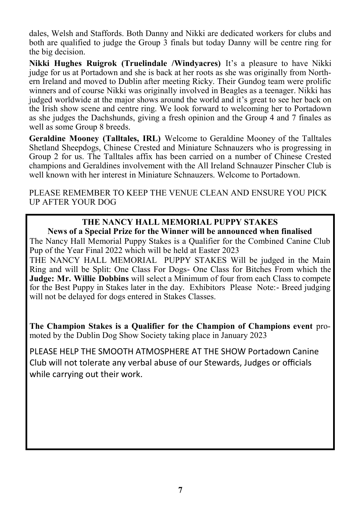dales, Welsh and Staffords. Both Danny and Nikki are dedicated workers for clubs and both are qualified to judge the Group 3 finals but today Danny will be centre ring for the big decision.

**Nikki Hughes Ruigrok (Truelindale /Windyacres)** It's a pleasure to have Nikki judge for us at Portadown and she is back at her roots as she was originally from Northern Ireland and moved to Dublin after meeting Ricky. Their Gundog team were prolific winners and of course Nikki was originally involved in Beagles as a teenager. Nikki has judged worldwide at the major shows around the world and it's great to see her back on the Irish show scene and centre ring. We look forward to welcoming her to Portadown as she judges the Dachshunds, giving a fresh opinion and the Group 4 and 7 finales as well as some Group 8 breeds.

**Geraldine Mooney (Talltales, IRL)** Welcome to Geraldine Mooney of the Talltales Shetland Sheepdogs, Chinese Crested and Miniature Schnauzers who is progressing in Group 2 for us. The Talltales affix has been carried on a number of Chinese Crested champions and Geraldines involvement with the All Ireland Schnauzer Pinscher Club is well known with her interest in Miniature Schnauzers. Welcome to Portadown.

PLEASE REMEMBER TO KEEP THE VENUE CLEAN AND ENSURE YOU PICK UP AFTER YOUR DOG

#### **THE NANCY HALL MEMORIAL PUPPY STAKES News of a Special Prize for the Winner will be announced when finalised**

The Nancy Hall Memorial Puppy Stakes is a Qualifier for the Combined Canine Club Pup of the Year Final 2022 which will be held at Easter 2023

THE NANCY HALL MEMORIAL PUPPY STAKES Will be judged in the Main Ring and will be Split: One Class For Dogs- One Class for Bitches From which the **Judge: Mr. Willie Dobbins** will select a Minimum of four from each Class to compete for the Best Puppy in Stakes later in the day. Exhibitors Please Note:- Breed judging will not be delayed for dogs entered in Stakes Classes.

**The Champion Stakes is a Qualifier for the Champion of Champions event** promoted by the Dublin Dog Show Society taking place in January 2023

PLEASE HELP THE SMOOTH ATMOSPHERE AT THE SHOW Portadown Canine Club will not tolerate any verbal abuse of our Stewards, Judges or officials while carrying out their work.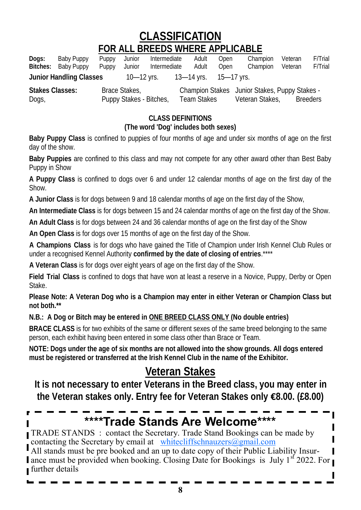**CLASSIFICATION**

## **FOR ALL BREEDS WHERE APPLICABLE**

| Dogs:                    | Baby Puppy<br>Bitches: Baby Puppy | Puppy<br>Puppy | Junior<br>Junior                         | Intermediate<br>Intermediate | Adult<br>Adult            | Open<br>Open | Champion<br>Champion                                             | Veteran<br>Veteran | F/Trial<br>F/Trial |
|--------------------------|-----------------------------------|----------------|------------------------------------------|------------------------------|---------------------------|--------------|------------------------------------------------------------------|--------------------|--------------------|
|                          | Junior Handling Classes           |                | 10—12 yrs.                               |                              | - 13—14 yrs. - 15—17 yrs. |              |                                                                  |                    |                    |
| Stakes Classes:<br>Dogs, |                                   |                | Brace Stakes.<br>Puppy Stakes - Bitches, |                              | Team Stakes               |              | Champion Stakes Junior Stakes, Puppy Stakes -<br>Veteran Stakes. |                    | <b>Breeders</b>    |

**CLASS DEFINITIONS**

**(The word 'Dog' includes both sexes)**

**Baby Puppy Class** is confined to puppies of four months of age and under six months of age on the first day of the show.

**Baby Puppies** are confined to this class and may not compete for any other award other than Best Baby Puppy in Show

**A Puppy Class** is confined to dogs over 6 and under 12 calendar months of age on the first day of the Show.

**A Junior Class** is for dogs between 9 and 18 calendar months of age on the first day of the Show,

**An Intermediate Class** is for dogs between 15 and 24 calendar months of age on the first day of the Show.

**An Adult Class** is for dogs between 24 and 36 calendar months of age on the first day of the Show

**An Open Class** is for dogs over 15 months of age on the first day of the Show.

**A Champions Class** is for dogs who have gained the Title of Champion under Irish Kennel Club Rules or under a recognised Kennel Authority **confirmed by the date of closing of entries**.\*\*\*\*

**A Veteran Class** is for dogs over eight years of age on the first day of the Show.

**Field Trial Class** is confined to dogs that have won at least a reserve in a Novice, Puppy, Derby or Open Stake.

**Please Note: A Veteran Dog who is a Champion may enter in either Veteran or Champion Class but not both.\*\***

**N.B.: A Dog or Bitch may be entered in ONE BREED CLASS ONLY (No double entries)**

**BRACE CLASS** is for two exhibits of the same or different sexes of the same breed belonging to the same person, each exhibit having been entered in some class other than Brace or Team.

**NOTE: Dogs under the age of six months are not allowed into the show grounds. All dogs entered must be registered or transferred at the Irish Kennel Club in the name of the Exhibitor.**

# **Veteran Stakes**

**It is not necessary to enter Veterans in the Breed class, you may enter in the Veteran stakes only. Entry fee for Veteran Stakes only €8.00. (£8.00)**

# **\*\*\*\*Trade Stands Are Welcome\*\*\*\***

TRADE STANDS : contact the Secretary. Trade Stand Bookings can be made by contacting the Secretary by email at [whitecliffschnauzers@gmail.com](mailto:whitecliffschnauzers@gmail.com)

All stands must be pre booked and an up to date copy of their Public Liability Insurance must be provided when booking. Closing Date for Bookings is July  $1^{st}$  2022. For further details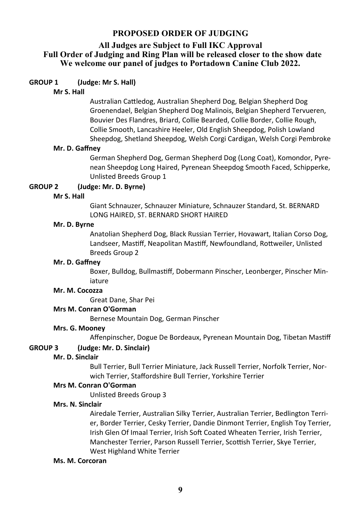#### **PROPOSED ORDER OF JUDGING**

#### **All Judges are Subject to Full IKC Approval Full Order of Judging and Ring Plan will be released closer to the show date We welcome our panel of judges to Portadown Canine Club 2022.**

#### **GROUP 1 (Judge: Mr S. Hall)**

#### **Mr S. Hall**

Australian Cattledog, Australian Shepherd Dog, Belgian Shepherd Dog Groenendael, Belgian Shepherd Dog Malinois, Belgian Shepherd Tervueren, Bouvier Des Flandres, Briard, Collie Bearded, Collie Border, Collie Rough, Collie Smooth, Lancashire Heeler, Old English Sheepdog, Polish Lowland Sheepdog, Shetland Sheepdog, Welsh Corgi Cardigan, Welsh Corgi Pembroke

#### **Mr. D. Gaffney**

German Shepherd Dog, German Shepherd Dog (Long Coat), Komondor, Pyrenean Sheepdog Long Haired, Pyrenean Sheepdog Smooth Faced, Schipperke, Unlisted Breeds Group 1

#### **GROUP 2 (Judge: Mr. D. Byrne)**

#### **Mr S. Hall**

Giant Schnauzer, Schnauzer Miniature, Schnauzer Standard, St. BERNARD LONG HAIRED, ST. BERNARD SHORT HAIRED

#### **Mr. D. Byrne**

Anatolian Shepherd Dog, Black Russian Terrier, Hovawart, Italian Corso Dog, Landseer, Mastiff, Neapolitan Mastiff, Newfoundland, Rottweiler, Unlisted Breeds Group 2

#### **Mr. D. Gaffney**

Boxer, Bulldog, Bullmastiff, Dobermann Pinscher, Leonberger, Pinscher Miniature

#### **Mr. M. Cocozza**

Great Dane, Shar Pei

#### **Mrs M. Conran O'Gorman**

Bernese Mountain Dog, German Pinscher

#### **Mrs. G. Mooney**

Affenpinscher, Dogue De Bordeaux, Pyrenean Mountain Dog, Tibetan Mastiff

#### **GROUP 3 (Judge: Mr. D. Sinclair)**

#### **Mr. D. Sinclair**

Bull Terrier, Bull Terrier Miniature, Jack Russell Terrier, Norfolk Terrier, Norwich Terrier, Staffordshire Bull Terrier, Yorkshire Terrier

#### **Mrs M. Conran O'Gorman**

Unlisted Breeds Group 3

#### **Mrs. N. Sinclair**

Airedale Terrier, Australian Silky Terrier, Australian Terrier, Bedlington Terrier, Border Terrier, Cesky Terrier, Dandie Dinmont Terrier, English Toy Terrier, Irish Glen Of Imaal Terrier, Irish Soft Coated Wheaten Terrier, Irish Terrier, Manchester Terrier, Parson Russell Terrier, Scottish Terrier, Skye Terrier, West Highland White Terrier

#### **Ms. M. Corcoran**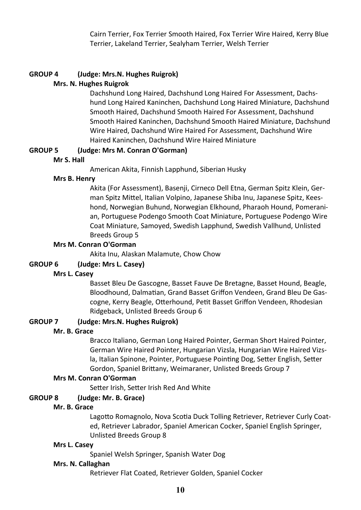Cairn Terrier, Fox Terrier Smooth Haired, Fox Terrier Wire Haired, Kerry Blue Terrier, Lakeland Terrier, Sealyham Terrier, Welsh Terrier

### **GROUP 4 (Judge: Mrs.N. Hughes Ruigrok)**

#### **Mrs. N. Hughes Ruigrok**

Dachshund Long Haired, Dachshund Long Haired For Assessment, Dachshund Long Haired Kaninchen, Dachshund Long Haired Miniature, Dachshund Smooth Haired, Dachshund Smooth Haired For Assessment, Dachshund Smooth Haired Kaninchen, Dachshund Smooth Haired Miniature, Dachshund Wire Haired, Dachshund Wire Haired For Assessment, Dachshund Wire Haired Kaninchen, Dachshund Wire Haired Miniature

#### **GROUP 5 (Judge: Mrs M. Conran O'Gorman)**

#### **Mr S. Hall**

American Akita, Finnish Lapphund, Siberian Husky

#### **Mrs B. Henry**

Akita (For Assessment), Basenji, Cirneco Dell Etna, German Spitz Klein, German Spitz Mittel, Italian Volpino, Japanese Shiba Inu, Japanese Spitz, Keeshond, Norwegian Buhund, Norwegian Elkhound, Pharaoh Hound, Pomeranian, Portuguese Podengo Smooth Coat Miniature, Portuguese Podengo Wire Coat Miniature, Samoyed, Swedish Lapphund, Swedish Vallhund, Unlisted Breeds Group 5

#### **Mrs M. Conran O'Gorman**

Akita Inu, Alaskan Malamute, Chow Chow

#### **GROUP 6 (Judge: Mrs L. Casey)**

#### **Mrs L. Casey**

Basset Bleu De Gascogne, Basset Fauve De Bretagne, Basset Hound, Beagle, Bloodhound, Dalmatian, Grand Basset Griffon Vendeen, Grand Bleu De Gascogne, Kerry Beagle, Otterhound, Petit Basset Griffon Vendeen, Rhodesian Ridgeback, Unlisted Breeds Group 6

#### **GROUP 7 (Judge: Mrs.N. Hughes Ruigrok)**

#### **Mr. B. Grace**

Bracco Italiano, German Long Haired Pointer, German Short Haired Pointer, German Wire Haired Pointer, Hungarian Vizsla, Hungarian Wire Haired Vizsla, Italian Spinone, Pointer, Portuguese Pointing Dog, Setter English, Setter Gordon, Spaniel Brittany, Weimaraner, Unlisted Breeds Group 7

#### **Mrs M. Conran O'Gorman**

Setter Irish, Setter Irish Red And White

#### **GROUP 8 (Judge: Mr. B. Grace)**

#### **Mr. B. Grace**

Lagotto Romagnolo, Nova Scotia Duck Tolling Retriever, Retriever Curly Coated, Retriever Labrador, Spaniel American Cocker, Spaniel English Springer, Unlisted Breeds Group 8

#### **Mrs L. Casey**

Spaniel Welsh Springer, Spanish Water Dog

#### **Mrs. N. Callaghan**

Retriever Flat Coated, Retriever Golden, Spaniel Cocker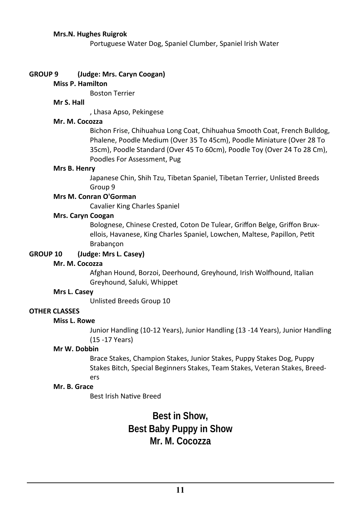#### **Mrs.N. Hughes Ruigrok**

Portuguese Water Dog, Spaniel Clumber, Spaniel Irish Water

#### **GROUP 9 (Judge: Mrs. Caryn Coogan)**

#### **Miss P. Hamilton**

Boston Terrier

#### **Mr S. Hall**

, Lhasa Apso, Pekingese

#### **Mr. M. Cocozza**

Bichon Frise, Chihuahua Long Coat, Chihuahua Smooth Coat, French Bulldog, Phalene, Poodle Medium (Over 35 To 45cm), Poodle Miniature (Over 28 To 35cm), Poodle Standard (Over 45 To 60cm), Poodle Toy (Over 24 To 28 Cm), Poodles For Assessment, Pug

#### **Mrs B. Henry**

Japanese Chin, Shih Tzu, Tibetan Spaniel, Tibetan Terrier, Unlisted Breeds Group 9

#### **Mrs M. Conran O'Gorman**

Cavalier King Charles Spaniel

#### **Mrs. Caryn Coogan**

Bolognese, Chinese Crested, Coton De Tulear, Griffon Belge, Griffon Bruxellois, Havanese, King Charles Spaniel, Lowchen, Maltese, Papillon, Petit Brabançon

#### **GROUP 10 (Judge: Mrs L. Casey)**

#### **Mr. M. Cocozza**

Afghan Hound, Borzoi, Deerhound, Greyhound, Irish Wolfhound, Italian Greyhound, Saluki, Whippet

#### **Mrs L. Casey**

Unlisted Breeds Group 10

#### **OTHER CLASSES**

#### **Miss L. Rowe**

Junior Handling (10-12 Years), Junior Handling (13 -14 Years), Junior Handling (15 -17 Years)

#### **Mr W. Dobbin**

Brace Stakes, Champion Stakes, Junior Stakes, Puppy Stakes Dog, Puppy Stakes Bitch, Special Beginners Stakes, Team Stakes, Veteran Stakes, Breeders

#### **Mr. B. Grace**

Best Irish Native Breed

**Best in Show, Best Baby Puppy in Show Mr. M. Cocozza**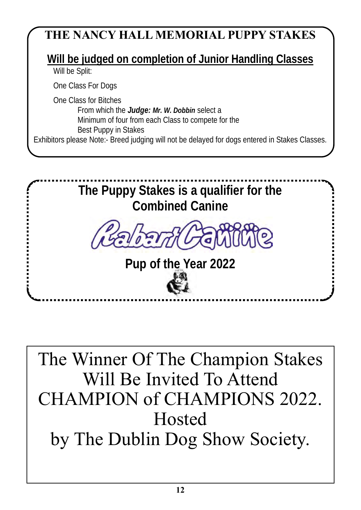# **THE NANCY HALL MEMORIAL PUPPY STAKES**

**Will be judged on completion of Junior Handling Classes**

Will be Split:

One Class For Dogs

One Class for Bitches From which the *Judge: Mr. W. Dobbin* select a Minimum of four from each Class to compete for the Best Puppy in Stakes Exhibitors please Note:- Breed judging will not be delayed for dogs entered in Stakes Classes.



The Winner Of The Champion Stakes Will Be Invited To Attend CHAMPION of CHAMPIONS 2022. Hosted by The Dublin Dog Show Society.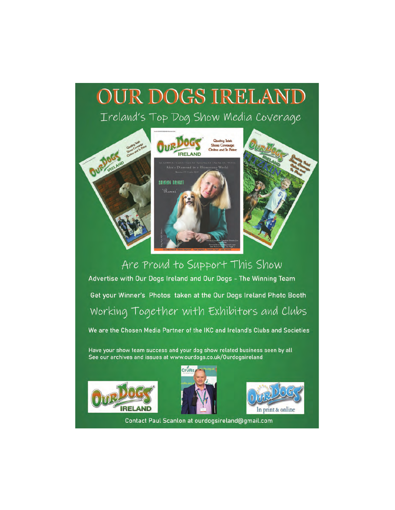# **OUR DOGS IRELAND** Ireland's Top Dog Show Media Coverage



# Are Proud to Support This Show Advertise with Our Dogs Ireland and Our Dogs - The Winning Team Get your Winner's Photos taken at the Our Dogs Ireland Photo Booth Working Together with Exhibitors and Clubs

We are the Chosen Media Partner of the IKC and Ireland's Clubs and Societies

Have your show team success and your dog show related business seen by all See our archives and issues at www.ourdogs.co.uk/Ourdogsireland







Contact Paul Scanlon at ourdogsireland@gmail.com